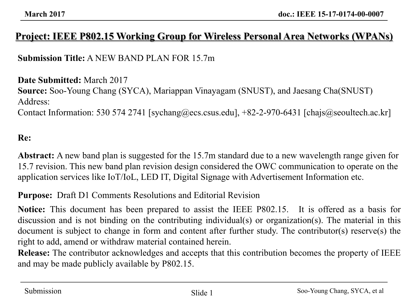### **Project: IEEE P802.15 Working Group for Wireless Personal Area Networks (WPANs)**

**Submission Title:** A NEW BAND PLAN FOR 15.7m

**Date Submitted:** March 2017 **Source:** Soo-Young Chang (SYCA), Mariappan Vinayagam (SNUST), and Jaesang Cha(SNUST) Address: Contact Information: 530 574 2741 [sychang@ecs.csus.edu], +82-2-970-6431 [chajs@seoultech.ac.kr]

#### **Re:**

**Abstract:** A new band plan is suggested for the 15.7m standard due to a new wavelength range given for 15.7 revision. This new band plan revision design considered the OWC communication to operate on the application services like IoT/IoL, LED IT, Digital Signage with Advertisement Information etc.

**Purpose:** Draft D1 Comments Resolutions and Editorial Revision

**Notice:** This document has been prepared to assist the IEEE P802.15. It is offered as a basis for discussion and is not binding on the contributing individual(s) or organization(s). The material in this document is subject to change in form and content after further study. The contributor(s) reserve(s) the right to add, amend or withdraw material contained herein.

**Release:** The contributor acknowledges and accepts that this contribution becomes the property of IEEE and may be made publicly available by P802.15.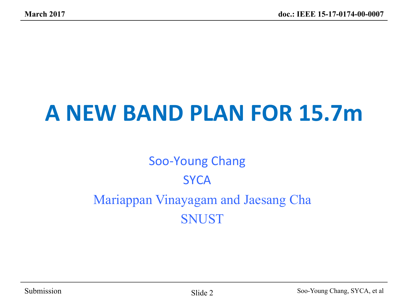# **A NEW BAND PLAN FOR 15.7m**

### Soo-Young Chang **SYCA** Mariappan Vinayagam and Jaesang Cha SNUST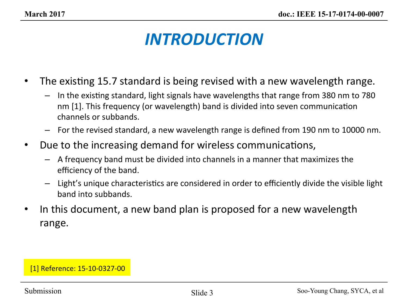### *INTRODUCTION*

- The existing 15.7 standard is being revised with a new wavelength range.
	- $-$  In the existing standard, light signals have wavelengths that range from 380 nm to 780 nm [1]. This frequency (or wavelength) band is divided into seven communication channels or subbands.
	- $-$  For the revised standard, a new wavelength range is defined from 190 nm to 10000 nm.
- Due to the increasing demand for wireless communications,
	- $-$  A frequency band must be divided into channels in a manner that maximizes the efficiency of the band.
	- $-$  Light's unique characteristics are considered in order to efficiently divide the visible light band into subbands.
- In this document, a new band plan is proposed for a new wavelength range.

#### [1] Reference: 15-10-0327-00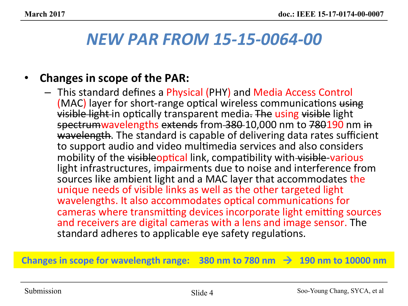### *NEW PAR FROM 15-15-0064-00*

### **Changes in scope of the PAR:**

 $-$  This standard defines a Physical (PHY) and Media Access Control (MAC) layer for short-range optical wireless communications using visible light in optically transparent media. The using visible light spectrumwavelengths extends from 380 10,000 nm to 780190 nm in wavelength. The standard is capable of delivering data rates sufficient to support audio and video multimedia services and also considers mobility of the visibleoptical link, compatibility with visible-various light infrastructures, impairments due to noise and interference from sources like ambient light and a MAC layer that accommodates the unique needs of visible links as well as the other targeted light wavelengths. It also accommodates optical communications for cameras where transmitting devices incorporate light emitting sources and receivers are digital cameras with a lens and image sensor. The standard adheres to applicable eye safety regulations.

#### Changes in scope for wavelength range:  $380$  nm to  $780$  nm  $\rightarrow$  190 nm to 10000 nm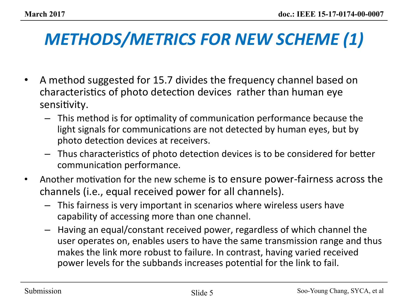# **METHODS/METRICS FOR NEW SCHEME (1)**

- A method suggested for 15.7 divides the frequency channel based on characteristics of photo detection devices rather than human eye sensitivity.
	- $-$  This method is for optimality of communication performance because the light signals for communications are not detected by human eyes, but by photo detection devices at receivers.
	- $-$  Thus characteristics of photo detection devices is to be considered for better communication performance.
- Another motivation for the new scheme is to ensure power-fairness across the channels (i.e., equal received power for all channels).
	- $-$  This fairness is very important in scenarios where wireless users have capability of accessing more than one channel.
	- $-$  Having an equal/constant received power, regardless of which channel the user operates on, enables users to have the same transmission range and thus makes the link more robust to failure. In contrast, having varied received power levels for the subbands increases potential for the link to fail.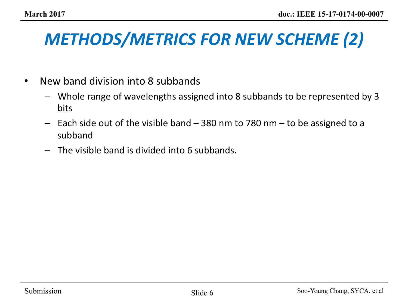# **METHODS/METRICS FOR NEW SCHEME (2)**

- New band division into 8 subbands
	- $-$  Whole range of wavelengths assigned into 8 subbands to be represented by 3 bits
	- $-$  Each side out of the visible band  $-$  380 nm to 780 nm  $-$  to be assigned to a subband
	- $-$  The visible band is divided into 6 subbands.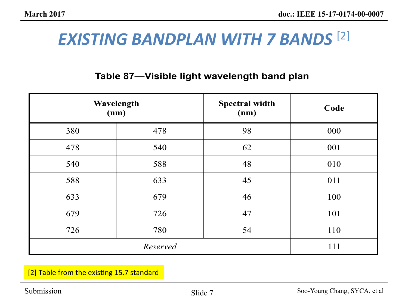### **EXISTING BANDPLAN WITH 7 BANDS** <sup>[2]</sup>

#### **Table 87-Visible light wavelength band plan**

|     | Wavelength<br>(nm) | <b>Spectral width</b><br>(nm) | Code |
|-----|--------------------|-------------------------------|------|
| 380 | 478                | 98                            | 000  |
| 478 | 540                | 62                            | 001  |
| 540 | 588                | 48                            | 010  |
| 588 | 633                | 45                            | 011  |
| 633 | 679                | 46                            | 100  |
| 679 | 726                | 47                            | 101  |
| 726 | 780                | 54                            | 110  |
|     | 111                |                               |      |

WAT TO A WARD WAS ARREsted by the contract of the contract of the contract of the contract of the contract of the contract of the contract of the contract of the contract of the contract of the contract of the contract of [2] Table from the existing 15.7 standard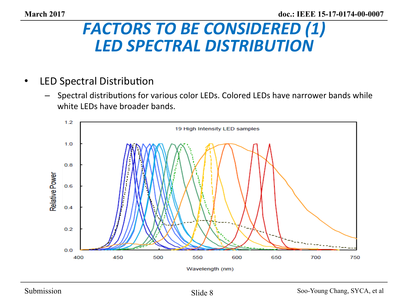### **FACTORS TO BE CONSIDERED (1)** *LED SPECTRAL DISTRIBUTION*

- LED Spectral Distribution
	- $-$  Spectral distributions for various color LEDs. Colored LEDs have narrower bands while white LEDs have broader bands.

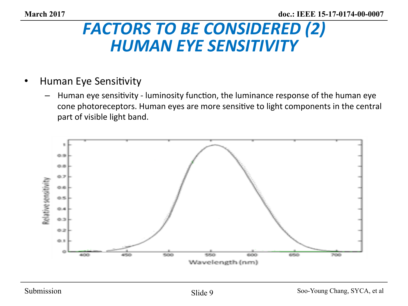### **FACTORS TO BE CONSIDERED (2) HUMAN EYE SENSITIVITY**

### • Human Eye Sensitivity

 $-$  Human eye sensitivity - luminosity function, the luminance response of the human eye cone photoreceptors. Human eyes are more sensitive to light components in the central part of visible light band.

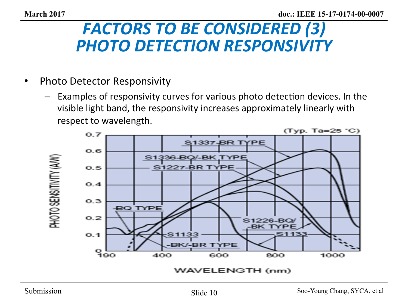### **FACTORS TO BE CONSIDERED (3) PHOTO DETECTION RESPONSIVITY**

- Photo Detector Responsivity
	- Examples of responsivity curves for various photo detection devices. In the visible light band, the responsivity increases approximately linearly with respect to wavelength.

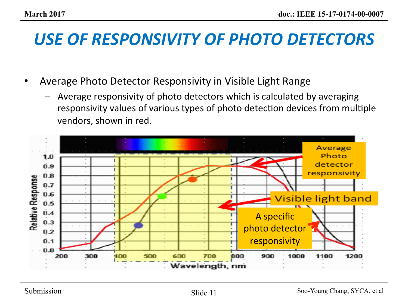### USE OF RESPONSIVITY OF PHOTO DETECTORS

- Average Photo Detector Responsivity in Visible Light Range
	- Average responsivity of photo detectors which is calculated by averaging responsivity values of various types of photo detection devices from multiple vendors, shown in red.

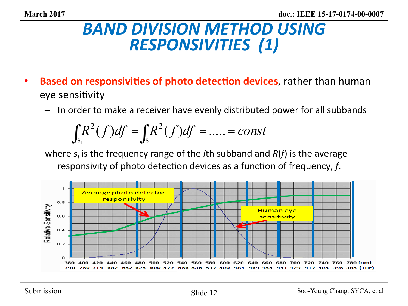### **BAND DIVISION METHOD USING RESPONSIVITIES** (1)

- **Based on responsivities of photo detection devices**, rather than human eye sensitivity
	- $-$  In order to make a receiver have evenly distributed power for all subbands

$$
\int_{S_1} R^2(f) df = \int_{S_1} R^2(f) df = \dots = const
$$

where  $s_i$  is the frequency range of the *i*th subband and  $R(f)$  is the average responsivity of photo detection devices as a function of frequency, *f*.

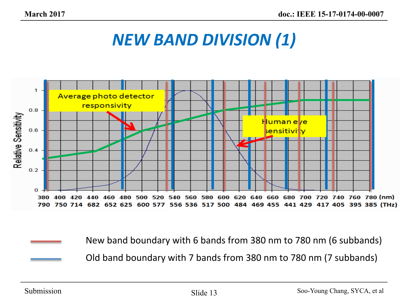### *NEW BAND DIVISION (1)*



New band boundary with 6 bands from 380 nm to 780 nm (6 subbands) Old band boundary with 7 bands from 380 nm to 780 nm (7 subbands)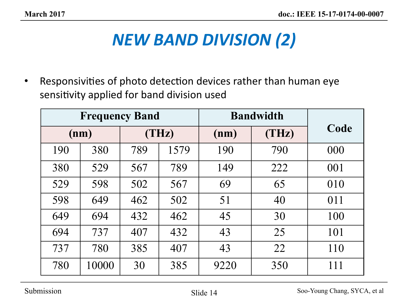# *NEW BAND DIVISION (2)*

• Responsivities of photo detection devices rather than human eye sensitivity applied for band division used

| <b>Frequency Band</b> |               |     | <b>Bandwidth</b> |       |      |     |
|-----------------------|---------------|-----|------------------|-------|------|-----|
|                       | (THz)<br>(nm) |     | (nm)             | (THz) | Code |     |
| 190                   | 380           | 789 | 1579             | 190   | 790  | 000 |
| 380                   | 529           | 567 | 789              | 149   | 222  | 001 |
| 529                   | 598           | 502 | 567              | 69    | 65   | 010 |
| 598                   | 649           | 462 | 502              | 51    | 40   | 011 |
| 649                   | 694           | 432 | 462              | 45    | 30   | 100 |
| 694                   | 737           | 407 | 432              | 43    | 25   | 101 |
| 737                   | 780           | 385 | 407              | 43    | 22   | 110 |
| 780                   | 10000         | 30  | 385              | 9220  | 350  | 111 |